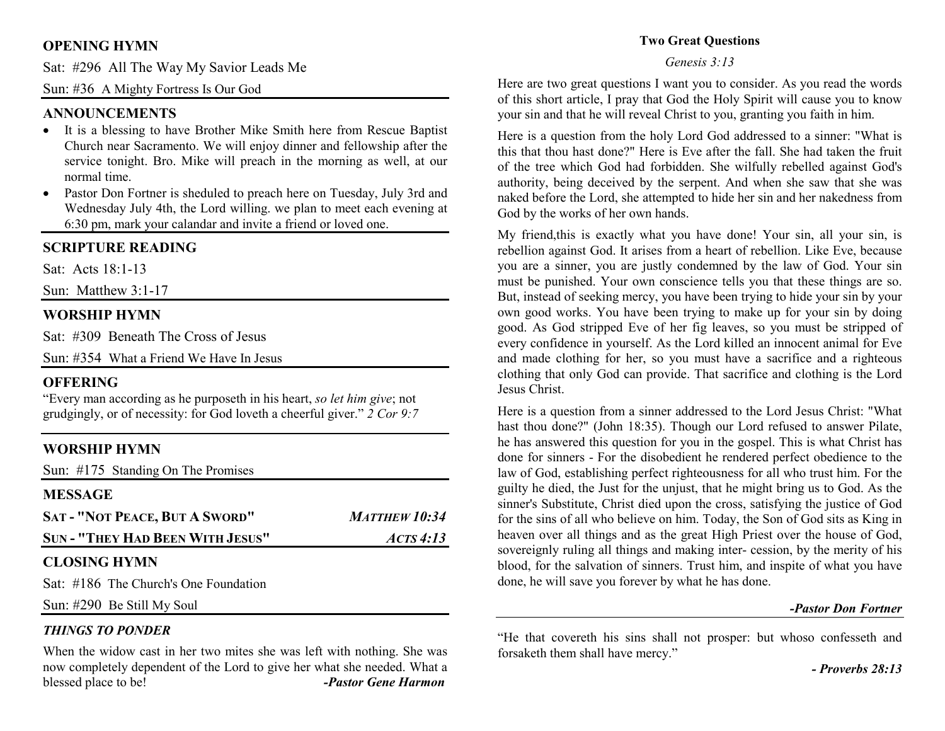# **OPENING HYMN**

Sat: #296 All The Way My Savior Leads Me

Sun: #36 A Mighty Fortress Is Our God

## **ANNOUNCEMENTS**

- It is a blessing to have Brother Mike Smith here from Rescue Baptist Church near Sacramento. We will enjoy dinner and fellowship after the service tonight. Bro. Mike will preach in the morning as well, at our normal time.
- Pastor Don Fortner is sheduled to preach here on Tuesday, July 3rd and •Wednesday July 4th, the Lord willing. we plan to meet each evening at 6:30 pm, mark your calandar and invite a friend or loved one.

## **SCRIPTURE READING**

Sat: Acts 18:1-13

Sun: Matthew 3:1-17

## **WORSHIP HYMN**

Sat: #309 Beneath The Cross of Jesus

Sun: #354 What a Friend We Have In Jesus

## **OFFERING**

 "Every man according as he purposeth in his heart, *so let him give*; not grudgingly, or of necessity: for God loveth a cheerful giver." *2 Cor 9:7*

## **WORSHIP HYMN**

| Sun: #175 Standing On The Promises                                                                                                                                                                                                                                                                                                          |                      |
|---------------------------------------------------------------------------------------------------------------------------------------------------------------------------------------------------------------------------------------------------------------------------------------------------------------------------------------------|----------------------|
| <b>MESSAGE</b>                                                                                                                                                                                                                                                                                                                              |                      |
| <b>SAT - "NOT PEACE, BUT A SWORD"</b>                                                                                                                                                                                                                                                                                                       | <b>MATTHEW 10:34</b> |
| <b>SUN - "THEY HAD BEEN WITH JESUS"</b>                                                                                                                                                                                                                                                                                                     | ACTS4:13             |
| <b>CLOSING HYMN</b>                                                                                                                                                                                                                                                                                                                         |                      |
| $\alpha$ , $\beta$ $\alpha$ and $\alpha$ is $\alpha$ and $\beta$ is $\alpha$ is $\alpha$ is $\alpha$ is $\alpha$ is $\alpha$ is $\alpha$ is $\alpha$ is $\alpha$ is $\alpha$ is $\alpha$ is $\alpha$ is $\alpha$ is $\alpha$ is $\alpha$ is $\alpha$ is $\alpha$ is $\alpha$ is $\alpha$ is $\alpha$ is $\alpha$ is $\alpha$ is $\alpha$ is |                      |

Sat: #186 The Church's One Foundation

Sun: #290 Be Still My Soul

#### *THINGS TO PONDER*

When the widow cast in her two mites she was left with nothing. She was now completely dependent of the Lord to give her what she needed. What a blessed place to be! *-Pastor Gene Harmon*

### **Two Great Questions**

#### *Genesis 3:13*

Here are two great questions I want you to consider. As you read the words of this short article, I pray that God the Holy Spirit will cause you to know your sin and that he will reveal Christ to you, granting you faith in him.

Here is a question from the holy Lord God addressed to a sinner: "What is this that thou hast done?" Here is Eve after the fall. She had taken the fruit of the tree which God had forbidden. She wilfully rebelled against God's authority, being deceived by the serpent. And when she saw that she was naked before the Lord, she attempted to hide her sin and her nakedness from God by the works of her own hands.

My friend,this is exactly what you have done! Your sin, all your sin, is rebellion against God. It arises from a heart of rebellion. Like Eve, because you are a sinner, you are justly condemned by the law of God. Your sin must be punished. Your own conscience tells you that these things are so. But, instead of seeking mercy, you have been trying to hide your sin by your own good works. You have been trying to make up for your sin by doing good. As God stripped Eve of her fig leaves, so you must be stripped of every confidence in yourself. As the Lord killed an innocent animal for Eve and made clothing for her, so you must have a sacrifice and a righteous clothing that only God can provide. That sacrifice and clothing is the Lord Jesus Christ.

Here is a question from a sinner addressed to the Lord Jesus Christ: "What hast thou done?" (John 18:35). Though our Lord refused to answer Pilate, he has answered this question for you in the gospel. This is what Christ has done for sinners - For the disobedient he rendered perfect obedience to the law of God, establishing perfect righteousness for all who trust him. For the guilty he died, the Just for the unjust, that he might bring us to God. As the sinner's Substitute, Christ died upon the cross, satisfying the justice of God for the sins of all who believe on him. Today, the Son of God sits as King in heaven over all things and as the great High Priest over the house of God, sovereignly ruling all things and making inter- cession, by the merity of his blood, for the salvation of sinners. Trust him, and inspite of what you have done, he will save you forever by what he has done.

#### *-Pastor Don Fortner*

"He that covereth his sins shall not prosper: but whoso confesseth and forsaketh them shall have mercy."

*- Proverbs 28:13*